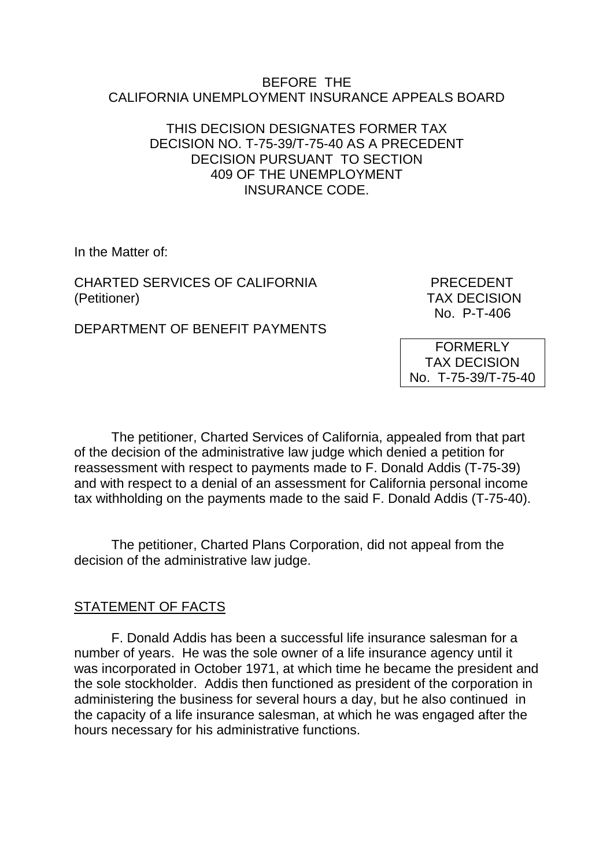#### BEFORE THE CALIFORNIA UNEMPLOYMENT INSURANCE APPEALS BOARD

## THIS DECISION DESIGNATES FORMER TAX DECISION NO. T-75-39/T-75-40 AS A PRECEDENT DECISION PURSUANT TO SECTION 409 OF THE UNEMPLOYMENT INSURANCE CODE.

In the Matter of:

CHARTED SERVICES OF CALIFORNIA PRECEDENT (Petitioner) TAX DECISION

No. P-T-406

DEPARTMENT OF BENEFIT PAYMENTS

FORMERLY TAX DECISION No. T-75-39/T-75-40

The petitioner, Charted Services of California, appealed from that part of the decision of the administrative law judge which denied a petition for reassessment with respect to payments made to F. Donald Addis (T-75-39) and with respect to a denial of an assessment for California personal income tax withholding on the payments made to the said F. Donald Addis (T-75-40).

The petitioner, Charted Plans Corporation, did not appeal from the decision of the administrative law judge.

## STATEMENT OF FACTS

F. Donald Addis has been a successful life insurance salesman for a number of years. He was the sole owner of a life insurance agency until it was incorporated in October 1971, at which time he became the president and the sole stockholder. Addis then functioned as president of the corporation in administering the business for several hours a day, but he also continued in the capacity of a life insurance salesman, at which he was engaged after the hours necessary for his administrative functions.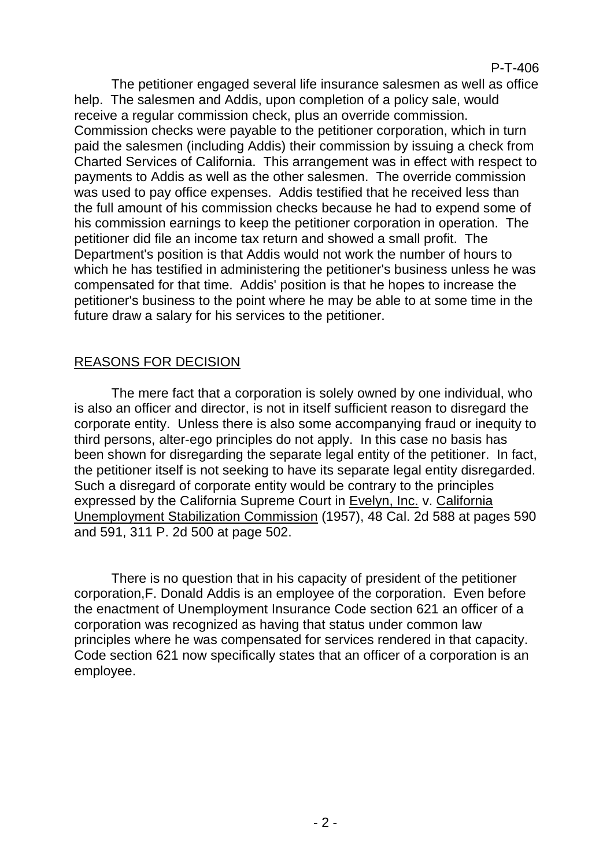## P-T-406

The petitioner engaged several life insurance salesmen as well as office help. The salesmen and Addis, upon completion of a policy sale, would receive a regular commission check, plus an override commission. Commission checks were payable to the petitioner corporation, which in turn paid the salesmen (including Addis) their commission by issuing a check from Charted Services of California. This arrangement was in effect with respect to payments to Addis as well as the other salesmen. The override commission was used to pay office expenses. Addis testified that he received less than the full amount of his commission checks because he had to expend some of his commission earnings to keep the petitioner corporation in operation. The petitioner did file an income tax return and showed a small profit. The Department's position is that Addis would not work the number of hours to which he has testified in administering the petitioner's business unless he was compensated for that time. Addis' position is that he hopes to increase the petitioner's business to the point where he may be able to at some time in the future draw a salary for his services to the petitioner.

## REASONS FOR DECISION

The mere fact that a corporation is solely owned by one individual, who is also an officer and director, is not in itself sufficient reason to disregard the corporate entity. Unless there is also some accompanying fraud or inequity to third persons, alter-ego principles do not apply. In this case no basis has been shown for disregarding the separate legal entity of the petitioner. In fact, the petitioner itself is not seeking to have its separate legal entity disregarded. Such a disregard of corporate entity would be contrary to the principles expressed by the California Supreme Court in Evelyn, Inc. v. California Unemployment Stabilization Commission (1957), 48 Cal. 2d 588 at pages 590 and 591, 311 P. 2d 500 at page 502.

There is no question that in his capacity of president of the petitioner corporation,F. Donald Addis is an employee of the corporation. Even before the enactment of Unemployment Insurance Code section 621 an officer of a corporation was recognized as having that status under common law principles where he was compensated for services rendered in that capacity. Code section 621 now specifically states that an officer of a corporation is an employee.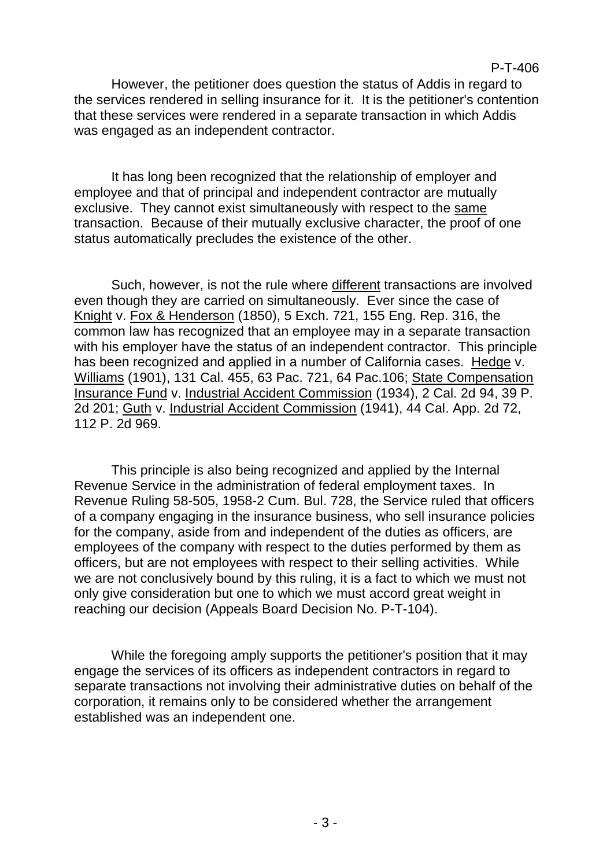However, the petitioner does question the status of Addis in regard to the services rendered in selling insurance for it. It is the petitioner's contention that these services were rendered in a separate transaction in which Addis was engaged as an independent contractor.

It has long been recognized that the relationship of employer and employee and that of principal and independent contractor are mutually exclusive. They cannot exist simultaneously with respect to the same transaction. Because of their mutually exclusive character, the proof of one status automatically precludes the existence of the other.

Such, however, is not the rule where different transactions are involved even though they are carried on simultaneously. Ever since the case of Knight v. Fox & Henderson (1850), 5 Exch. 721, 155 Eng. Rep. 316, the common law has recognized that an employee may in a separate transaction with his employer have the status of an independent contractor. This principle has been recognized and applied in a number of California cases. Hedge v. Williams (1901), 131 Cal. 455, 63 Pac. 721, 64 Pac.106; State Compensation Insurance Fund v. Industrial Accident Commission (1934), 2 Cal. 2d 94, 39 P. 2d 201; Guth v. Industrial Accident Commission (1941), 44 Cal. App. 2d 72, 112 P. 2d 969.

This principle is also being recognized and applied by the Internal Revenue Service in the administration of federal employment taxes. In Revenue Ruling 58-505, 1958-2 Cum. Bul. 728, the Service ruled that officers of a company engaging in the insurance business, who sell insurance policies for the company, aside from and independent of the duties as officers, are employees of the company with respect to the duties performed by them as officers, but are not employees with respect to their selling activities. While we are not conclusively bound by this ruling, it is a fact to which we must not only give consideration but one to which we must accord great weight in reaching our decision (Appeals Board Decision No. P-T-104).

While the foregoing amply supports the petitioner's position that it may engage the services of its officers as independent contractors in regard to separate transactions not involving their administrative duties on behalf of the corporation, it remains only to be considered whether the arrangement established was an independent one.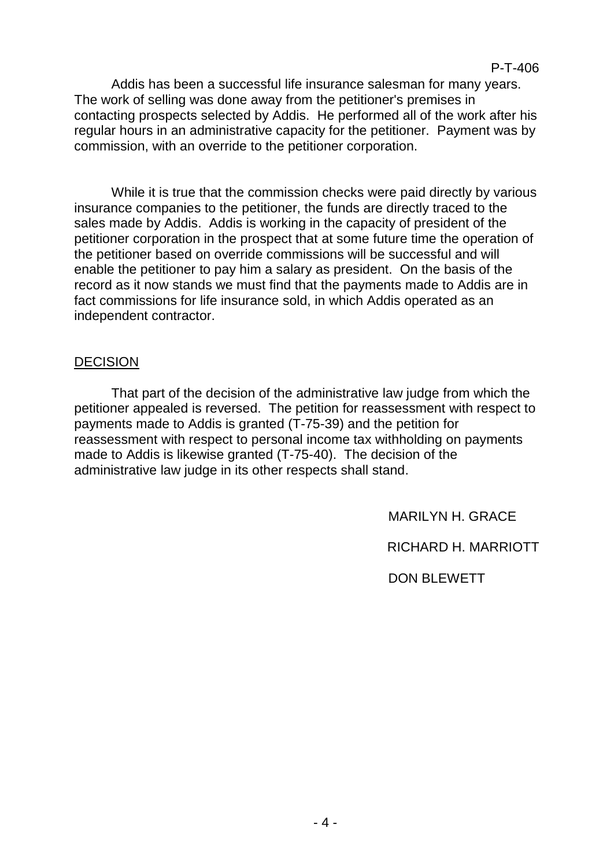Addis has been a successful life insurance salesman for many years. The work of selling was done away from the petitioner's premises in contacting prospects selected by Addis. He performed all of the work after his regular hours in an administrative capacity for the petitioner. Payment was by commission, with an override to the petitioner corporation.

While it is true that the commission checks were paid directly by various insurance companies to the petitioner, the funds are directly traced to the sales made by Addis. Addis is working in the capacity of president of the petitioner corporation in the prospect that at some future time the operation of the petitioner based on override commissions will be successful and will enable the petitioner to pay him a salary as president. On the basis of the record as it now stands we must find that the payments made to Addis are in fact commissions for life insurance sold, in which Addis operated as an independent contractor.

## DECISION

That part of the decision of the administrative law judge from which the petitioner appealed is reversed. The petition for reassessment with respect to payments made to Addis is granted (T-75-39) and the petition for reassessment with respect to personal income tax withholding on payments made to Addis is likewise granted (T-75-40). The decision of the administrative law judge in its other respects shall stand.

MARILYN H. GRACE

RICHARD H. MARRIOTT

DON BLEWETT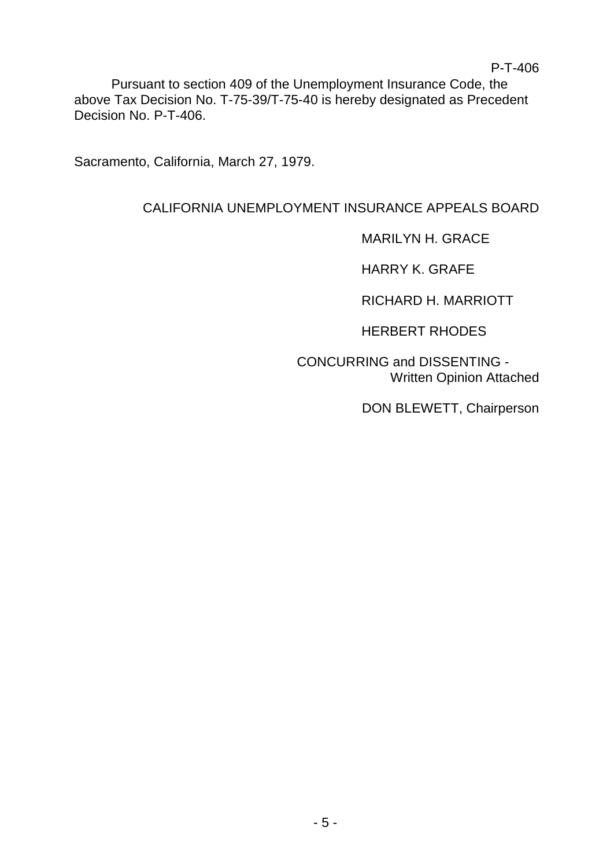Pursuant to section 409 of the Unemployment Insurance Code, the above Tax Decision No. T-75-39/T-75-40 is hereby designated as Precedent Decision No. P-T-406.

Sacramento, California, March 27, 1979.

# CALIFORNIA UNEMPLOYMENT INSURANCE APPEALS BOARD

MARILYN H. GRACE

HARRY K. GRAFE

RICHARD H. MARRIOTT

HERBERT RHODES

CONCURRING and DISSENTING - Written Opinion Attached

DON BLEWETT, Chairperson